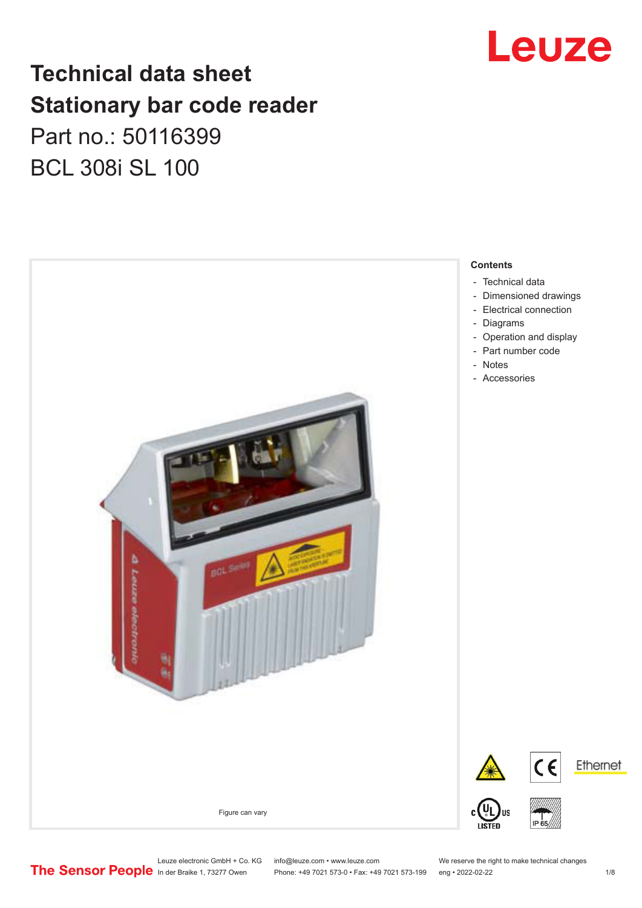

### **Technical data sheet Stationary bar code reader** Part no.: 50116399 BCL 308i SL 100



Leuze electronic GmbH + Co. KG info@leuze.com • www.leuze.com We reserve the right to make technical changes<br>
The Sensor People in der Braike 1, 73277 Owen Phone: +49 7021 573-0 • Fax: +49 7021 573-199 eng • 2022-02-22

Phone: +49 7021 573-0 • Fax: +49 7021 573-199 eng • 2022-02-22 1 /8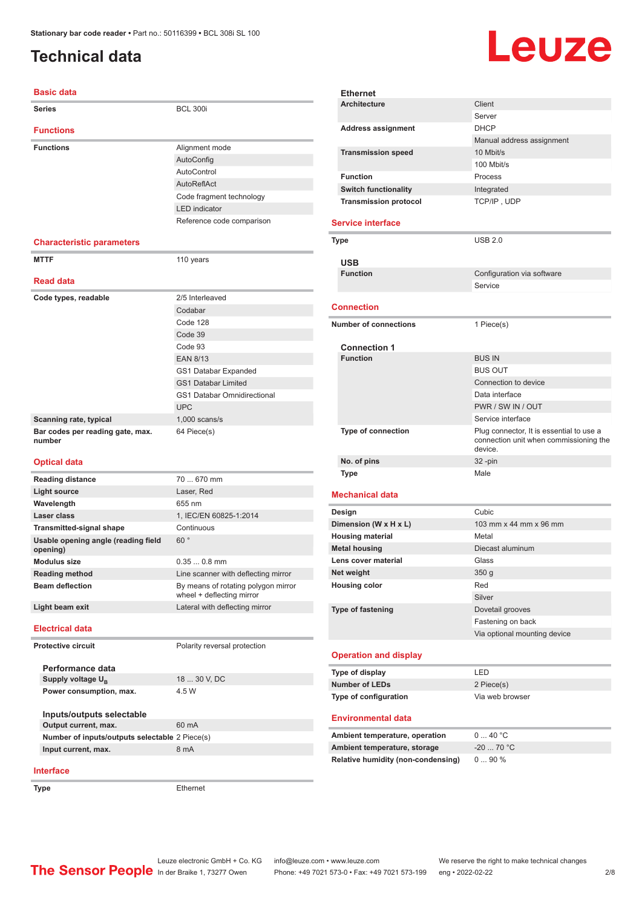### <span id="page-1-0"></span>**Technical data**

# Leuze

| <b>Basic data</b>                               |                                                                  |  |
|-------------------------------------------------|------------------------------------------------------------------|--|
| <b>Series</b>                                   | <b>BCL 300i</b>                                                  |  |
| <b>Functions</b>                                |                                                                  |  |
| <b>Functions</b>                                | Alignment mode                                                   |  |
|                                                 | AutoConfig                                                       |  |
|                                                 | AutoControl                                                      |  |
|                                                 | AutoReflAct                                                      |  |
|                                                 | Code fragment technology                                         |  |
|                                                 | <b>LED</b> indicator                                             |  |
|                                                 | Reference code comparison                                        |  |
| <b>Characteristic parameters</b>                |                                                                  |  |
| <b>MTTF</b>                                     | 110 years                                                        |  |
| <b>Read data</b>                                |                                                                  |  |
| Code types, readable                            | 2/5 Interleaved                                                  |  |
|                                                 | Codabar                                                          |  |
|                                                 | Code 128                                                         |  |
|                                                 | Code 39                                                          |  |
|                                                 | Code 93                                                          |  |
|                                                 | <b>EAN 8/13</b>                                                  |  |
|                                                 | GS1 Databar Expanded                                             |  |
|                                                 | <b>GS1 Databar Limited</b>                                       |  |
|                                                 | <b>GS1 Databar Omnidirectional</b>                               |  |
|                                                 | <b>UPC</b>                                                       |  |
| Scanning rate, typical                          | $1,000$ scans/s                                                  |  |
| Bar codes per reading gate, max.<br>number      | 64 Piece(s)                                                      |  |
| <b>Optical data</b>                             |                                                                  |  |
| <b>Reading distance</b>                         | 70  670 mm                                                       |  |
| <b>Light source</b>                             | Laser, Red                                                       |  |
| Wavelength                                      | 655 nm                                                           |  |
| Laser class                                     | 1, IEC/EN 60825-1:2014                                           |  |
| <b>Transmitted-signal shape</b>                 | Continuous                                                       |  |
| Usable opening angle (reading field<br>opening) | 60°                                                              |  |
| <b>Modulus size</b>                             | $0.350.8$ mm                                                     |  |
| <b>Reading method</b>                           | Line scanner with deflecting mirror                              |  |
| <b>Beam deflection</b>                          | By means of rotating polygon mirror<br>wheel + deflecting mirror |  |
| Light beam exit                                 | Lateral with deflecting mirror                                   |  |

#### **Electrical data**

**Performance data** Supply voltage  $U_B$ 

**Protective circuit** Polarity reversal protection

18 ... 30 V, DC **Power consumption, max.** 4.5 W

**Inputs/outputs selectable Output current, max.** 60 mA **Number of inputs/outputs selectable** 2 Piece(s) **Input current, max.** 8 mA

#### **Interface**

**Type** Ethernet

|                          | <b>Ethernet</b>              |                                          |  |
|--------------------------|------------------------------|------------------------------------------|--|
|                          | <b>Architecture</b>          | Client                                   |  |
|                          |                              | Server                                   |  |
|                          | <b>Address assignment</b>    | <b>DHCP</b>                              |  |
|                          |                              | Manual address assignment                |  |
|                          | <b>Transmission speed</b>    | 10 Mbit/s                                |  |
|                          |                              | 100 Mbit/s                               |  |
|                          | <b>Function</b>              | Process                                  |  |
|                          | <b>Switch functionality</b>  | Integrated                               |  |
|                          | <b>Transmission protocol</b> | TCP/IP, UDP                              |  |
|                          |                              |                                          |  |
|                          | <b>Service interface</b>     |                                          |  |
|                          | Type                         | <b>USB 2.0</b>                           |  |
|                          |                              |                                          |  |
|                          | <b>USB</b>                   |                                          |  |
|                          | <b>Function</b>              | Configuration via software               |  |
|                          |                              | Service                                  |  |
|                          |                              |                                          |  |
|                          | <b>Connection</b>            |                                          |  |
|                          | <b>Number of connections</b> | 1 Piece(s)                               |  |
|                          |                              |                                          |  |
|                          | <b>Connection 1</b>          |                                          |  |
|                          | <b>Function</b>              | <b>BUS IN</b>                            |  |
|                          |                              | <b>BUS OUT</b>                           |  |
|                          |                              | Connection to device                     |  |
|                          |                              | Data interface                           |  |
|                          |                              | PWR / SW IN / OUT                        |  |
|                          |                              | Service interface                        |  |
|                          | <b>Type of connection</b>    | Plug connector, It is essential to use a |  |
|                          |                              | connection unit when commissioning the   |  |
|                          |                              | device.                                  |  |
|                          | No. of pins                  | 32 -pin                                  |  |
|                          | <b>Type</b>                  | Male                                     |  |
|                          |                              |                                          |  |
|                          | <b>Mechanical data</b>       |                                          |  |
|                          | Design                       | Cubic                                    |  |
|                          | Dimension (W x H x L)        | 103 mm x 44 mm x 96 mm                   |  |
|                          | <b>Housing material</b>      | Metal                                    |  |
|                          | <b>Metal housing</b>         | Diecast aluminum                         |  |
|                          | Lens cover material          | Glass                                    |  |
|                          | Net weight                   | 350 g                                    |  |
|                          | <b>Housing color</b>         | Red                                      |  |
|                          |                              | Silver                                   |  |
| <b>Type of fastening</b> |                              | Dovetail grooves                         |  |
|                          |                              | Fastening on back                        |  |
|                          |                              | Via optional mounting device             |  |
|                          | <b>Operation and display</b> |                                          |  |
|                          | Type of display              | LED                                      |  |
| <b>Number of LEDs</b>    |                              |                                          |  |
|                          |                              |                                          |  |
|                          |                              | 2 Piece(s)                               |  |
|                          | Type of configuration        | Via web browser                          |  |
|                          | <b>Environmental data</b>    |                                          |  |

| Ambient temperature, operation     | $0 \dots 40 °C$ |
|------------------------------------|-----------------|
| Ambient temperature, storage       | $-20$ 70 °C     |
| Relative humidity (non-condensing) | $090\%$         |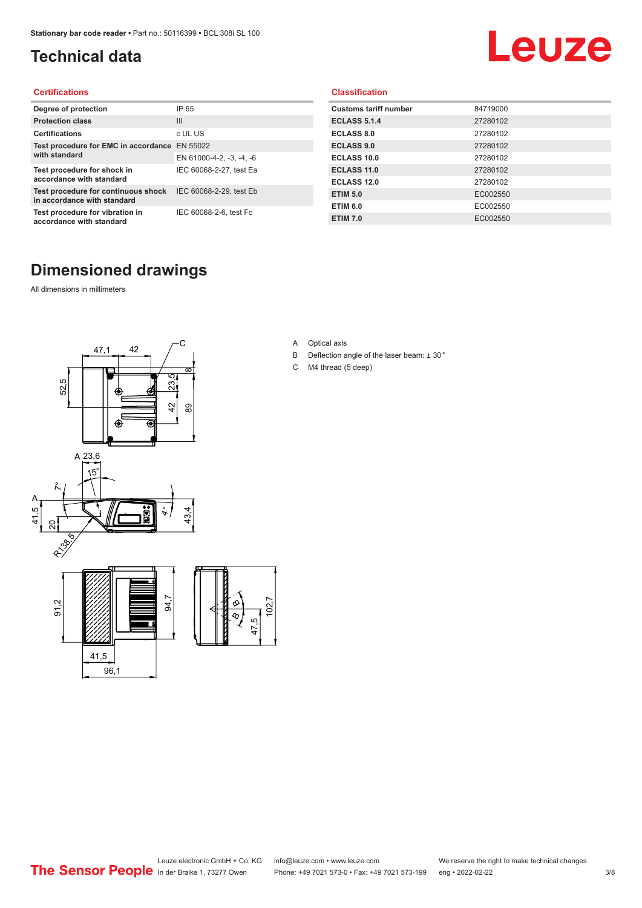### <span id="page-2-0"></span>**Technical data**

## Leuze

#### **Certifications**

| Degree of protection                                               | IP 65                    |
|--------------------------------------------------------------------|--------------------------|
| <b>Protection class</b>                                            | Ш                        |
| <b>Certifications</b>                                              | c UL US                  |
| Test procedure for EMC in accordance                               | EN 55022                 |
| with standard                                                      | EN 61000-4-2, -3, -4, -6 |
| Test procedure for shock in<br>accordance with standard            | IEC 60068-2-27, test Ea  |
| Test procedure for continuous shock<br>in accordance with standard | IEC 60068-2-29, test Eb  |
| Test procedure for vibration in<br>accordance with standard        | IEC 60068-2-6, test Fc   |

#### **Classification**

| <b>Customs tariff number</b> | 84719000 |
|------------------------------|----------|
| <b>ECLASS 5.1.4</b>          | 27280102 |
| <b>ECLASS 8.0</b>            | 27280102 |
| <b>ECLASS 9.0</b>            | 27280102 |
| ECLASS 10.0                  | 27280102 |
| <b>ECLASS 11.0</b>           | 27280102 |
| <b>ECLASS 12.0</b>           | 27280102 |
| <b>ETIM 5.0</b>              | EC002550 |
| <b>ETIM 6.0</b>              | EC002550 |
| <b>ETIM 7.0</b>              | EC002550 |

#### **Dimensioned drawings**

All dimensions in millimeters





- B Deflection angle of the laser beam: ± 30 °
- C M4 thread (5 deep)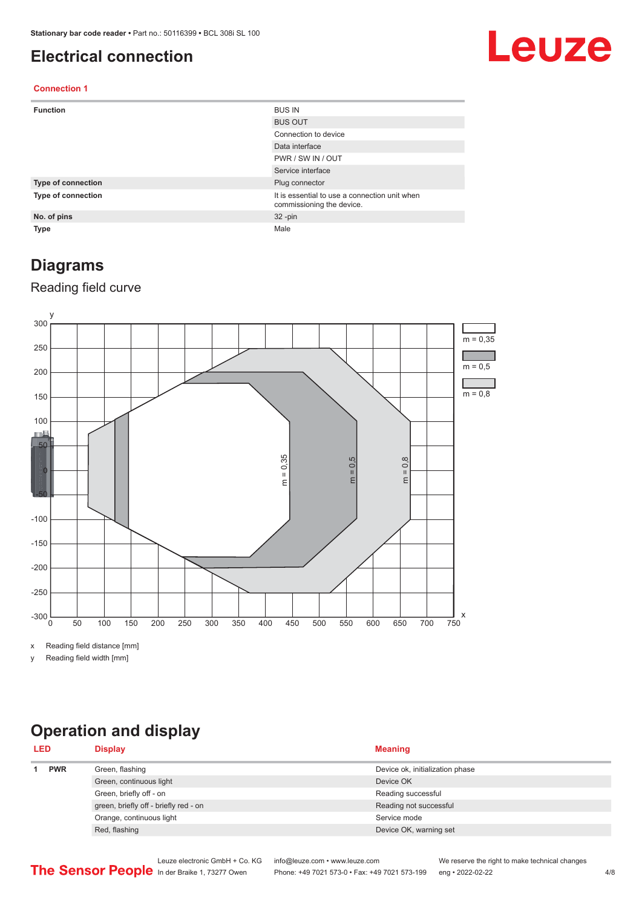#### <span id="page-3-0"></span>**Electrical connection**

## Leuze

#### **Connection 1**

| <b>Function</b>    | <b>BUS IN</b>                                                              |
|--------------------|----------------------------------------------------------------------------|
|                    | <b>BUS OUT</b>                                                             |
|                    | Connection to device                                                       |
|                    | Data interface                                                             |
|                    | PWR / SW IN / OUT                                                          |
|                    | Service interface                                                          |
| Type of connection | Plug connector                                                             |
| Type of connection | It is essential to use a connection unit when<br>commissioning the device. |
| No. of pins        | $32 - pin$                                                                 |
| <b>Type</b>        | Male                                                                       |

#### **Diagrams**

#### Reading field curve



x Reading field distance [mm]

y Reading field width [mm]

### **Operation and display**

| <b>LED</b> |  | <b>Display</b>                        | <b>Meaning</b>                  |
|------------|--|---------------------------------------|---------------------------------|
| <b>PWR</b> |  | Green, flashing                       | Device ok, initialization phase |
|            |  | Green, continuous light               | Device OK                       |
|            |  | Green, briefly off - on               | Reading successful              |
|            |  | green, briefly off - briefly red - on | Reading not successful          |
|            |  | Orange, continuous light              | Service mode                    |
|            |  | Red, flashing                         | Device OK, warning set          |
|            |  |                                       |                                 |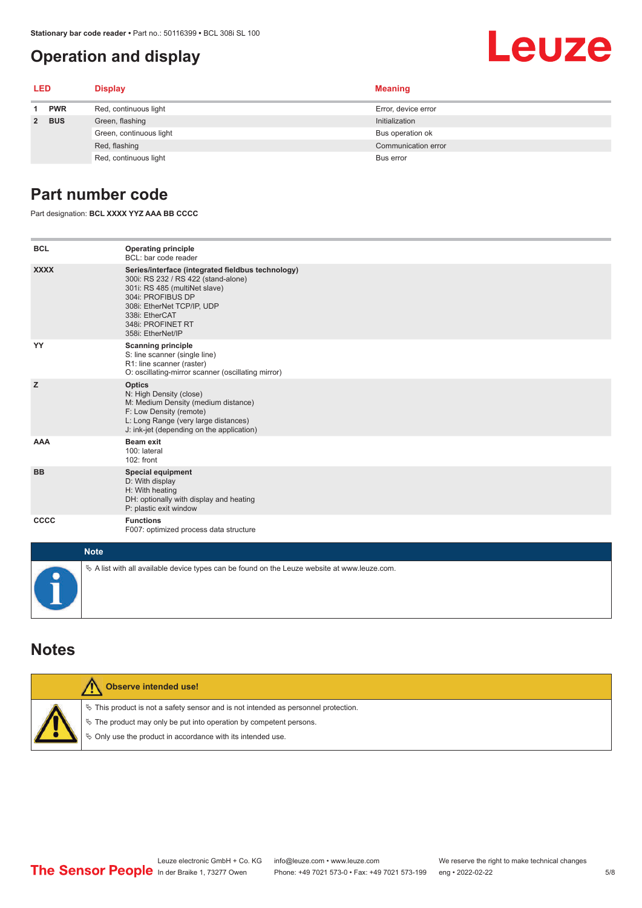#### <span id="page-4-0"></span>**Operation and display**

## Leuze

| <b>LED</b> |            | <b>Display</b>          | <b>Meaning</b>      |
|------------|------------|-------------------------|---------------------|
| 1.         | <b>PWR</b> | Red, continuous light   | Error, device error |
|            | 2 BUS      | Green, flashing         | Initialization      |
|            |            | Green, continuous light | Bus operation ok    |
|            |            | Red, flashing           | Communication error |
|            |            | Red, continuous light   | Bus error           |

#### **Part number code**

Part designation: **BCL XXXX YYZ AAA BB CCCC**

| <b>BCL</b>  | <b>Operating principle</b><br>BCL: bar code reader                                                                                                                                                                                       |
|-------------|------------------------------------------------------------------------------------------------------------------------------------------------------------------------------------------------------------------------------------------|
| <b>XXXX</b> | Series/interface (integrated fieldbus technology)<br>300i: RS 232 / RS 422 (stand-alone)<br>301i: RS 485 (multiNet slave)<br>304i: PROFIBUS DP<br>308i: EtherNet TCP/IP, UDP<br>338i: EtherCAT<br>348i: PROFINET RT<br>358i: EtherNet/IP |
| YY          | <b>Scanning principle</b><br>S: line scanner (single line)<br>R1: line scanner (raster)<br>O: oscillating-mirror scanner (oscillating mirror)                                                                                            |
| z           | <b>Optics</b><br>N: High Density (close)<br>M: Medium Density (medium distance)<br>F: Low Density (remote)<br>L: Long Range (very large distances)<br>J: ink-jet (depending on the application)                                          |
| <b>AAA</b>  | <b>Beam exit</b><br>100: lateral<br>102: front                                                                                                                                                                                           |
| <b>BB</b>   | <b>Special equipment</b><br>D: With display<br>H: With heating<br>DH: optionally with display and heating<br>P: plastic exit window                                                                                                      |
| <b>CCCC</b> | <b>Functions</b><br>F007: optimized process data structure                                                                                                                                                                               |
| <b>Note</b> |                                                                                                                                                                                                                                          |
|             | $\&$ A list with all available device types can be found on the Leuze website at www.leuze.com.                                                                                                                                          |

#### **Notes**

| Observe intended use!                                                                                                                                                                                                         |
|-------------------------------------------------------------------------------------------------------------------------------------------------------------------------------------------------------------------------------|
| $\%$ This product is not a safety sensor and is not intended as personnel protection.<br>$\%$ The product may only be put into operation by competent persons.<br>§ Only use the product in accordance with its intended use. |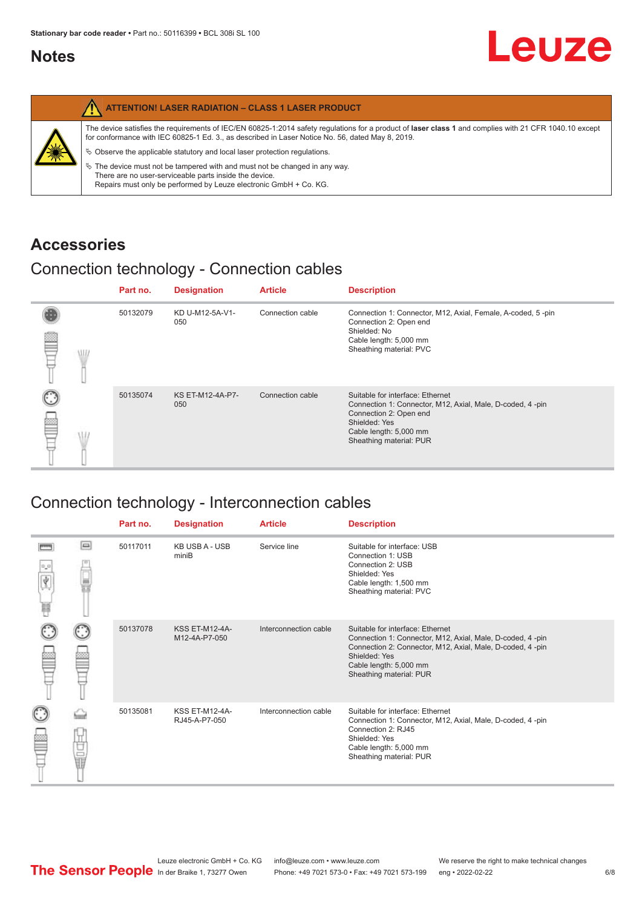#### <span id="page-5-0"></span>**Notes**

|   | <b>ATTENTION! LASER RADIATION - CLASS 1 LASER PRODUCT</b>                                                                                                                                                                                                                                                                                                                                                                                                                                                                                                   |
|---|-------------------------------------------------------------------------------------------------------------------------------------------------------------------------------------------------------------------------------------------------------------------------------------------------------------------------------------------------------------------------------------------------------------------------------------------------------------------------------------------------------------------------------------------------------------|
| 纂 | The device satisfies the requirements of IEC/EN 60825-1:2014 safety requlations for a product of laser class 1 and complies with 21 CFR 1040.10 except<br>for conformance with IEC 60825-1 Ed. 3., as described in Laser Notice No. 56, dated May 8, 2019.<br>$\%$ Observe the applicable statutory and local laser protection regulations.<br>$\%$ The device must not be tampered with and must not be changed in any way.<br>There are no user-serviceable parts inside the device.<br>Repairs must only be performed by Leuze electronic GmbH + Co. KG. |

#### **Accessories**

#### Connection technology - Connection cables

|      | Part no. | <b>Designation</b>      | <b>Article</b>   | <b>Description</b>                                                                                                                                                                            |
|------|----------|-------------------------|------------------|-----------------------------------------------------------------------------------------------------------------------------------------------------------------------------------------------|
| \ll. | 50132079 | KD U-M12-5A-V1-<br>050  | Connection cable | Connection 1: Connector, M12, Axial, Female, A-coded, 5-pin<br>Connection 2: Open end<br>Shielded: No<br>Cable length: 5,000 mm<br>Sheathing material: PVC                                    |
|      | 50135074 | KS ET-M12-4A-P7-<br>050 | Connection cable | Suitable for interface: Ethernet<br>Connection 1: Connector, M12, Axial, Male, D-coded, 4-pin<br>Connection 2: Open end<br>Shielded: Yes<br>Cable length: 5,000 mm<br>Sheathing material: PUR |

### Connection technology - Interconnection cables

|        |    | Part no. | <b>Designation</b>                     | <b>Article</b>        | <b>Description</b>                                                                                                                                                                                                               |
|--------|----|----------|----------------------------------------|-----------------------|----------------------------------------------------------------------------------------------------------------------------------------------------------------------------------------------------------------------------------|
| Ý<br>Ħ | ▣  | 50117011 | <b>KB USB A - USB</b><br>miniB         | Service line          | Suitable for interface: USB<br>Connection 1: USB<br>Connection 2: USB<br>Shielded: Yes<br>Cable length: 1,500 mm<br>Sheathing material: PVC                                                                                      |
|        |    | 50137078 | <b>KSS ET-M12-4A-</b><br>M12-4A-P7-050 | Interconnection cable | Suitable for interface: Ethernet<br>Connection 1: Connector, M12, Axial, Male, D-coded, 4-pin<br>Connection 2: Connector, M12, Axial, Male, D-coded, 4-pin<br>Shielded: Yes<br>Cable length: 5,000 mm<br>Sheathing material: PUR |
|        | 世軍 | 50135081 | <b>KSS ET-M12-4A-</b><br>RJ45-A-P7-050 | Interconnection cable | Suitable for interface: Ethernet<br>Connection 1: Connector, M12, Axial, Male, D-coded, 4-pin<br>Connection 2: RJ45<br>Shielded: Yes<br>Cable length: 5,000 mm<br>Sheathing material: PUR                                        |

Leuze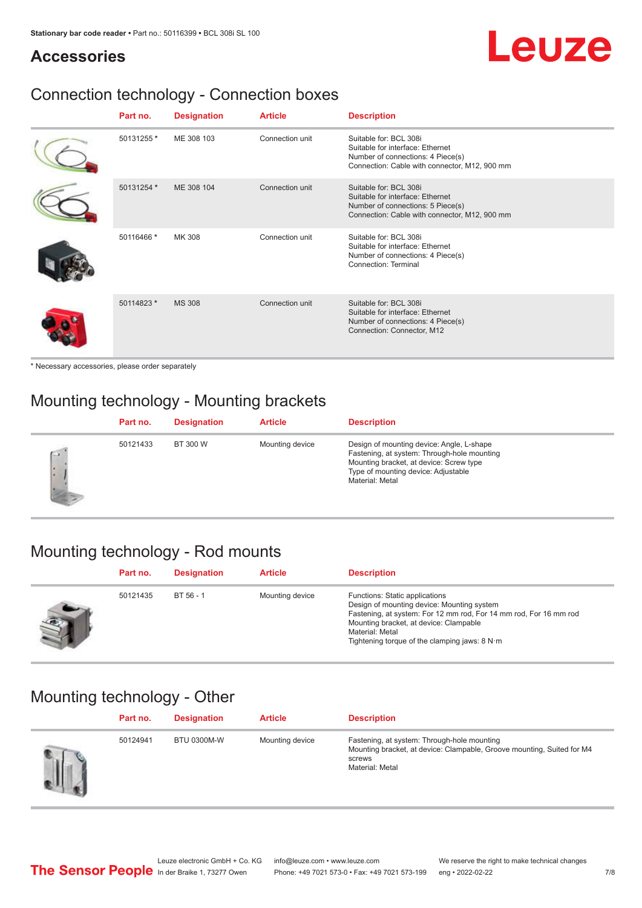#### **Accessories**

## Leuze

### Connection technology - Connection boxes

| Part no.   | <b>Designation</b> | <b>Article</b>  | <b>Description</b>                                                                                                                               |
|------------|--------------------|-----------------|--------------------------------------------------------------------------------------------------------------------------------------------------|
| 50131255 * | ME 308 103         | Connection unit | Suitable for: BCL 308i<br>Suitable for interface: Ethernet<br>Number of connections: 4 Piece(s)<br>Connection: Cable with connector, M12, 900 mm |
| 50131254 * | ME 308 104         | Connection unit | Suitable for: BCL 308i<br>Suitable for interface: Ethernet<br>Number of connections: 5 Piece(s)<br>Connection: Cable with connector, M12, 900 mm |
| 50116466 * | MK 308             | Connection unit | Suitable for: BCL 308i<br>Suitable for interface: Ethernet<br>Number of connections: 4 Piece(s)<br>Connection: Terminal                          |
| 50114823 * | <b>MS 308</b>      | Connection unit | Suitable for: BCL 308i<br>Suitable for interface: Ethernet<br>Number of connections: 4 Piece(s)<br>Connection: Connector, M12                    |

\* Necessary accessories, please order separately

### Mounting technology - Mounting brackets

|        | Part no. | <b>Designation</b> | <b>Article</b>  | <b>Description</b>                                                                                                                                                                            |
|--------|----------|--------------------|-----------------|-----------------------------------------------------------------------------------------------------------------------------------------------------------------------------------------------|
| $\sim$ | 50121433 | BT 300 W           | Mounting device | Design of mounting device: Angle, L-shape<br>Fastening, at system: Through-hole mounting<br>Mounting bracket, at device: Screw type<br>Type of mounting device: Adjustable<br>Material: Metal |

#### Mounting technology - Rod mounts

| Part no. | <b>Designation</b> | <b>Article</b>  | <b>Description</b>                                                                                                                                                                                                                                                |
|----------|--------------------|-----------------|-------------------------------------------------------------------------------------------------------------------------------------------------------------------------------------------------------------------------------------------------------------------|
| 50121435 | BT 56 - 1          | Mounting device | Functions: Static applications<br>Design of mounting device: Mounting system<br>Fastening, at system: For 12 mm rod, For 14 mm rod, For 16 mm rod<br>Mounting bracket, at device: Clampable<br>Material: Metal<br>Tightening torque of the clamping jaws: $8 N·m$ |

#### Mounting technology - Other

| Part no. | <b>Designation</b> | <b>Article</b>  | <b>Description</b>                                                                                                                                 |
|----------|--------------------|-----------------|----------------------------------------------------------------------------------------------------------------------------------------------------|
| 50124941 | <b>BTU 0300M-W</b> | Mounting device | Fastening, at system: Through-hole mounting<br>Mounting bracket, at device: Clampable, Groove mounting, Suited for M4<br>screws<br>Material: Metal |